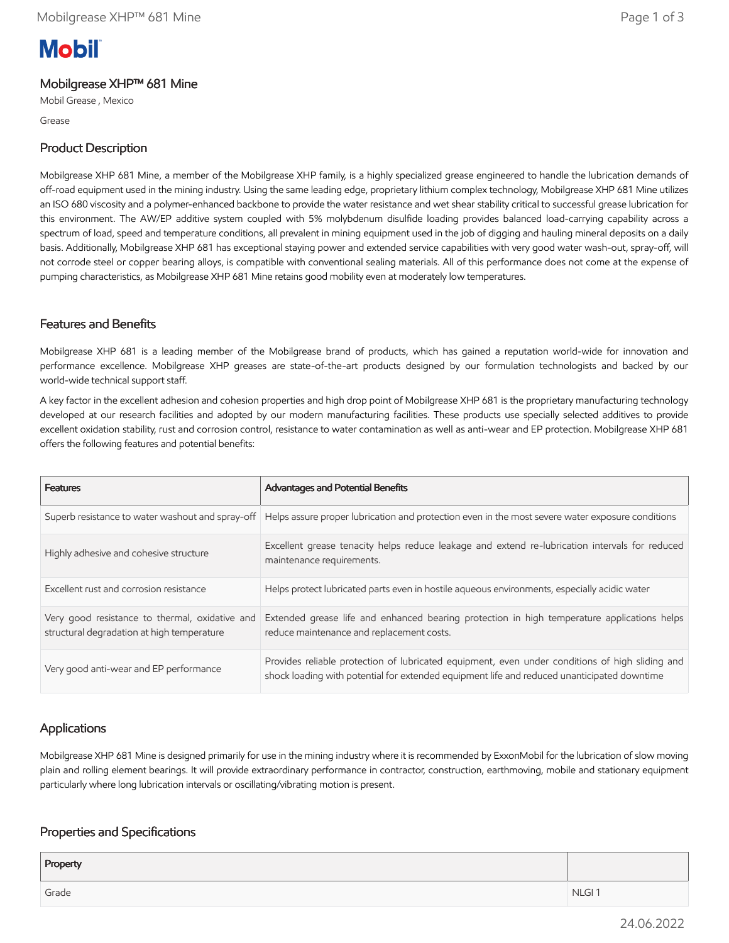# **Mobil**

#### Mobilgrease XHP™ 681 Mine

Mobil Grease , Mexico

Grease

## Product Description

Mobilgrease XHP 681 Mine, a member of the Mobilgrease XHP family, is a highly specialized grease engineered to handle the lubrication demands of off-road equipment used in the mining industry. Using the same leading edge, proprietary lithium complex technology, Mobilgrease XHP 681 Mine utilizes an ISO 680 viscosity and a polymer-enhanced backbone to provide the water resistance and wet shear stability critical to successful grease lubrication for this environment. The AW/EP additive system coupled with 5% molybdenum disulfide loading provides balanced load-carrying capability across a spectrum of load, speed and temperature conditions, all prevalent in mining equipment used in the job of digging and hauling mineral deposits on a daily basis. Additionally, Mobilgrease XHP 681 has exceptional staying power and extended service capabilities with very good water wash-out, spray-off, will not corrode steel or copper bearing alloys, is compatible with conventional sealing materials. All of this performance does not come at the expense of pumping characteristics, as Mobilgrease XHP 681 Mine retains good mobility even at moderately low temperatures.

## Features and Benefits

Mobilgrease XHP 681 is a leading member of the Mobilgrease brand of products, which has gained a reputation world-wide for innovation and performance excellence. Mobilgrease XHP greases are state-of-the-art products designed by our formulation technologists and backed by our world-wide technical support staff.

A key factor in the excellent adhesion and cohesion properties and high drop point of Mobilgrease XHP 681 is the proprietary manufacturing technology developed at our research facilities and adopted by our modern manufacturing facilities. These products use specially selected additives to provide excellent oxidation stability, rust and corrosion control, resistance to water contamination as well as anti-wear and EP protection. Mobilgrease XHP 681 offers the following features and potential benefits:

| <b>Features</b>                                                                              | <b>Advantages and Potential Benefits</b>                                                                                                                                                       |
|----------------------------------------------------------------------------------------------|------------------------------------------------------------------------------------------------------------------------------------------------------------------------------------------------|
|                                                                                              | Superb resistance to water washout and spray-off   Helps assure proper lubrication and protection even in the most severe water exposure conditions                                            |
| Highly adhesive and cohesive structure                                                       | Excellent grease tenacity helps reduce leakage and extend re-lubrication intervals for reduced<br>maintenance requirements.                                                                    |
| Excellent rust and corrosion resistance                                                      | Helps protect lubricated parts even in hostile aqueous environments, especially acidic water                                                                                                   |
| Very good resistance to thermal, oxidative and<br>structural degradation at high temperature | Extended grease life and enhanced bearing protection in high temperature applications helps<br>reduce maintenance and replacement costs.                                                       |
| Very good anti-wear and EP performance                                                       | Provides reliable protection of lubricated equipment, even under conditions of high sliding and<br>shock loading with potential for extended equipment life and reduced unanticipated downtime |

# Applications

Mobilgrease XHP 681 Mine is designed primarily for use in the mining industry where it is recommended by ExxonMobil for the lubrication of slow moving plain and rolling element bearings. It will provide extraordinary performance in contractor, construction, earthmoving, mobile and stationary equipment particularly where long lubrication intervals or oscillating/vibrating motion is present.

#### Properties and Specifications

| Property |                   |
|----------|-------------------|
| Grade    | NLGI <sub>1</sub> |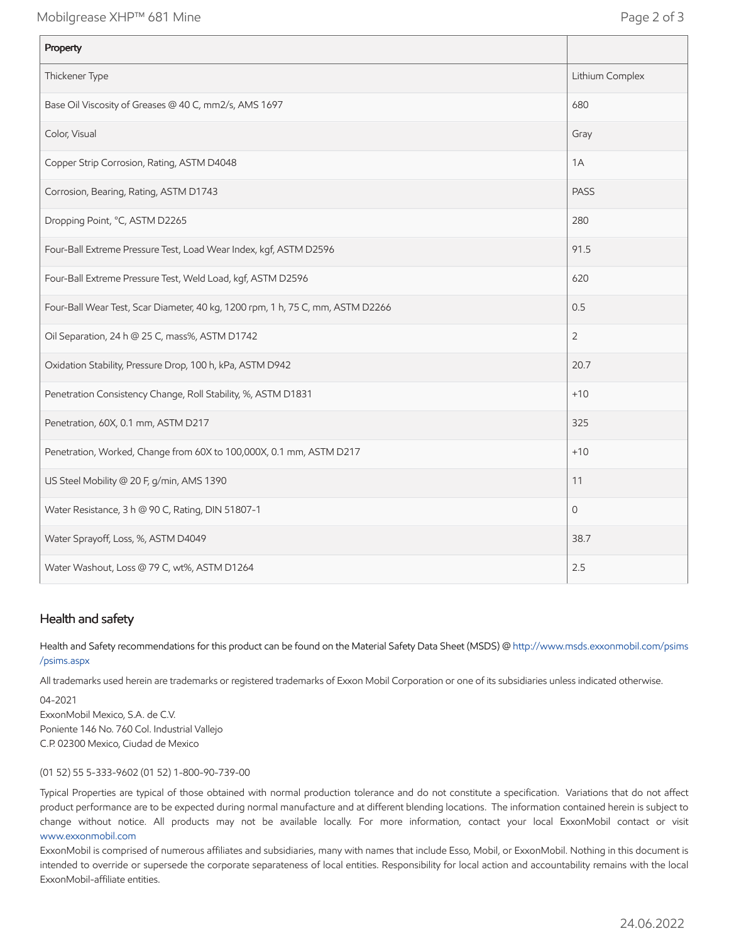Mobilgrease XHP™ 681 Mine **Page 2 of 3** 

| Property                                                                       |                 |
|--------------------------------------------------------------------------------|-----------------|
| Thickener Type                                                                 | Lithium Complex |
| Base Oil Viscosity of Greases @ 40 C, mm2/s, AMS 1697                          | 680             |
| Color, Visual                                                                  | Gray            |
| Copper Strip Corrosion, Rating, ASTM D4048                                     | 1A              |
| Corrosion, Bearing, Rating, ASTM D1743                                         | <b>PASS</b>     |
| Dropping Point, °C, ASTM D2265                                                 | 280             |
| Four-Ball Extreme Pressure Test, Load Wear Index, kgf, ASTM D2596              | 91.5            |
| Four-Ball Extreme Pressure Test, Weld Load, kgf, ASTM D2596                    | 620             |
| Four-Ball Wear Test, Scar Diameter, 40 kg, 1200 rpm, 1 h, 75 C, mm, ASTM D2266 | 0.5             |
| Oil Separation, 24 h @ 25 C, mass%, ASTM D1742                                 | $\overline{2}$  |
| Oxidation Stability, Pressure Drop, 100 h, kPa, ASTM D942                      | 20.7            |
| Penetration Consistency Change, Roll Stability, %, ASTM D1831                  | $+10$           |
| Penetration, 60X, 0.1 mm, ASTM D217                                            | 325             |
| Penetration, Worked, Change from 60X to 100,000X, 0.1 mm, ASTM D217            | $+10$           |
| US Steel Mobility @ 20 F, g/min, AMS 1390                                      | 11              |
| Water Resistance, 3 h @ 90 C, Rating, DIN 51807-1                              | $\Omega$        |
| Water Sprayoff, Loss, %, ASTM D4049                                            | 38.7            |
| Water Washout, Loss @ 79 C, wt%, ASTM D1264                                    | 2.5             |

#### Health and safety

Health and Safety recommendations for this product can be found on the Material Safety Data Sheet (MSDS) @ [http://www.msds.exxonmobil.com/psims](http://www.msds.exxonmobil.com/psims/psims.aspx) /psims.aspx

All trademarks used herein are trademarks or registered trademarks of Exxon Mobil Corporation or one of its subsidiaries unless indicated otherwise.

04-2021 ExxonMobil Mexico, S.A. de C.V. Poniente 146 No. 760 Col. Industrial Vallejo C.P. 02300 Mexico, Ciudad de Mexico

(01 52) 55 5-333-9602 (01 52) 1-800-90-739-00

Typical Properties are typical of those obtained with normal production tolerance and do not constitute a specification. Variations that do not affect product performance are to be expected during normal manufacture and at different blending locations. The information contained herein is subject to change without notice. All products may not be available locally. For more information, contact your local ExxonMobil contact or visit [www.exxonmobil.com](http://www.exxonmobil.com/)

ExxonMobil is comprised of numerous affiliates and subsidiaries, many with names that include Esso, Mobil, or ExxonMobil. Nothing in this document is intended to override or supersede the corporate separateness of local entities. Responsibility for local action and accountability remains with the local ExxonMobil-affiliate entities.